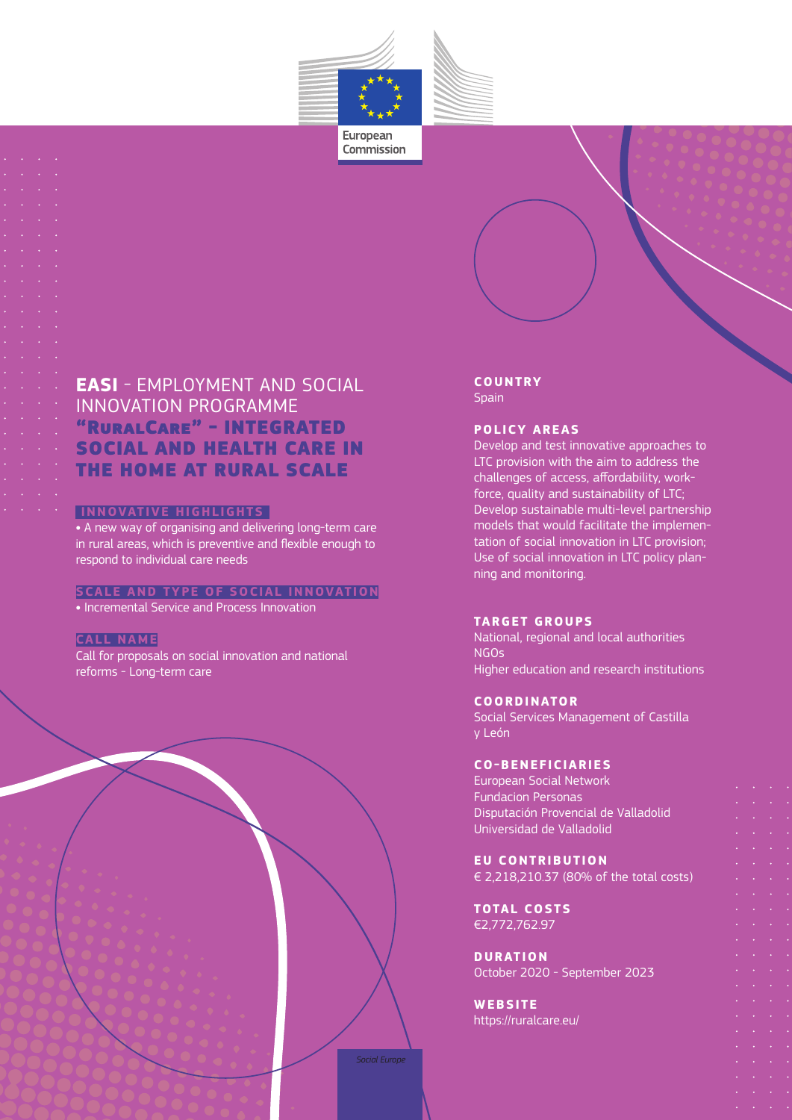

European Commission

## **EASI** - EMPLOYMENT AND SOCIAL INNOVATION PROGRAMME "RuralCare" - INTEGRATED SOCIAL AND HEALTH CARE IN THE HOME AT RURAL SCALE

#### **INNOVATIVE HIGHLIGHTS**

**•** A new way of organising and delivering long-term care in rural areas, which is preventive and flexible enough to respond to individual care needs

#### **SCALE AND TYPE OF SOCIAL INNOVATION •** Incremental Service and Process Innovation

### **CALL NAME**

Call for proposals on social innovation and national reforms - Long-term care

#### **COUNTRY Spain**

### **POLICY AREAS**

Develop and test innovative approaches to LTC provision with the aim to address the challenges of access, affordability, workforce, quality and sustainability of LTC; Develop sustainable multi-level partnership models that would facilitate the implementation of social innovation in LTC provision; Use of social innovation in LTC policy planning and monitoring.

#### **TARGET GROUPS**

National, regional and local authorities NGOs Higher education and research institutions

#### **COORDINATOR**

Social Services Management of Castilla y León

#### **CO-BENEFICIARIES**

European Social Network Fundacion Personas Disputación Provencial de Valladolid Universidad de Valladolid

**EU CONTRIBUTION** € 2,218,210.37 (80% of the total costs)

**TOTAL COSTS** €2,772,762.97

**DURATION** October 2020 - September 2023

**WEBSITE** https://ruralcare.eu/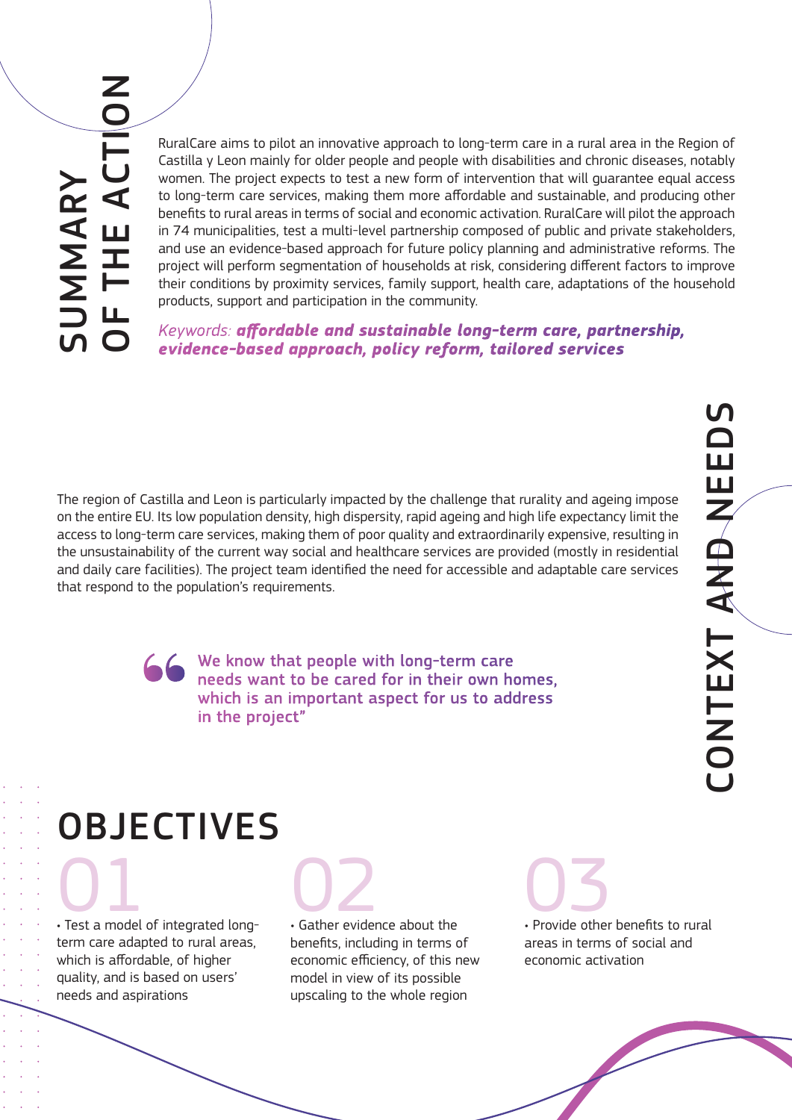RuralCare aims to pilot an innovative approach to long-term care in a rural area in the Region of Castilla y Leon mainly for older people and people with disabilities and chronic diseases, notably women. The project expects to test a new form of intervention that will guarantee equal access to long-term care services, making them more affordable and sustainable, and producing other benefits to rural areas in terms of social and economic activation. RuralCare will pilot the approach in 74 municipalities, test a multi-level partnership composed of public and private stakeholders, and use an evidence-based approach for future policy planning and administrative reforms. The project will perform segmentation of households at risk, considering different factors to improve their conditions by proximity services, family support, health care, adaptations of the household products, support and participation in the community.

*Keywords: affordable and sustainable long-term care, partnership, evidence-based approach, policy reform, tailored services*

The region of Castilla and Leon is particularly impacted by the challenge that rurality and ageing impose on the entire EU. Its low population density, high dispersity, rapid ageing and high life expectancy limit the access to long-term care services, making them of poor quality and extraordinarily expensive, resulting in the unsustainability of the current way social and healthcare services are provided (mostly in residential and daily care facilities). The project team identified the need for accessible and adaptable care services that respond to the population's requirements.

> We know that people with long-term care needs want to be cared for in their own homes, which is an important aspect for us to address in the project"

# **OBJECTIVES**

• Test a model of integrated long-01 term care adapted to rural areas, which is affordable, of higher quality, and is based on users' needs and aspirations

• Gather evidence about the benefits, including in terms of economic efficiency, of this new model in view of its possible upscaling to the whole region

02<br>
Gather evidence about the Provide other • Provide other benefits to rural areas in terms of social and economic activation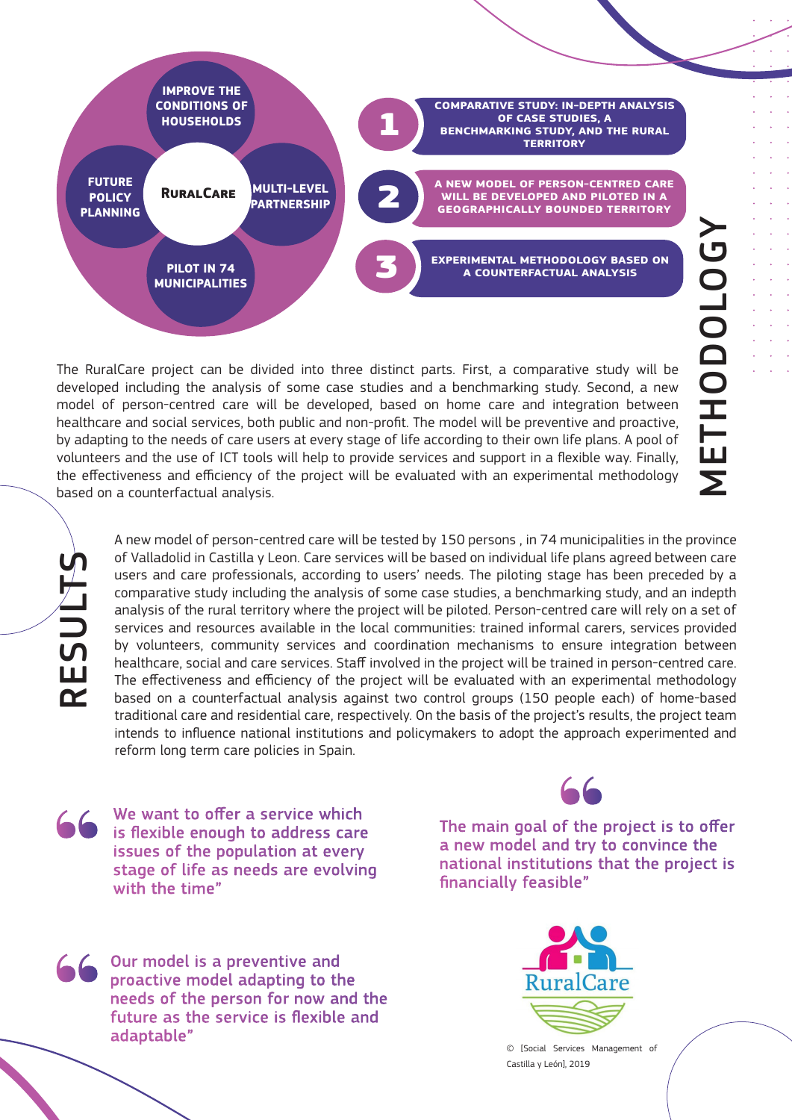

The RuralCare project can be divided into three distinct parts. First, a comparative study will be developed including the analysis of some case studies and a benchmarking study. Second, a new model of person-centred care will be developed, based on home care and integration between healthcare and social services, both public and non-profit. The model will be preventive and proactive, by adapting to the needs of care users at every stage of life according to their own life plans. A pool of volunteers and the use of ICT tools will help to provide services and support in a flexible way. Finally, the effectiveness and efficiency of the project will be evaluated with an experimental methodology based on a counterfactual analysis.

RESULTS

A new model of person-centred care will be tested by 150 persons , in 74 municipalities in the province of Valladolid in Castilla y Leon. Care services will be based on individual life plans agreed between care users and care professionals, according to users' needs. The piloting stage has been preceded by a comparative study including the analysis of some case studies, a benchmarking study, and an indepth analysis of the rural territory where the project will be piloted. Person-centred care will rely on a set of services and resources available in the local communities: trained informal carers, services provided by volunteers, community services and coordination mechanisms to ensure integration between healthcare, social and care services. Staff involved in the project will be trained in person-centred care. The effectiveness and efficiency of the project will be evaluated with an experimental methodology based on a counterfactual analysis against two control groups (150 people each) of home-based traditional care and residential care, respectively. On the basis of the project's results, the project team intends to influence national institutions and policymakers to adopt the approach experimented and reform long term care policies in Spain.

We want to offer a service which is flexible enough to address care issues of the population at every stage of life as needs are evolving with the time"



The main goal of the project is to offer a new model and try to convince the national institutions that the project is financially feasible"

Our model is a preventive and proactive model adapting to the needs of the person for now and the future as the service is flexible and adaptable"



© [Social Services Management of Castilla y León], 2019